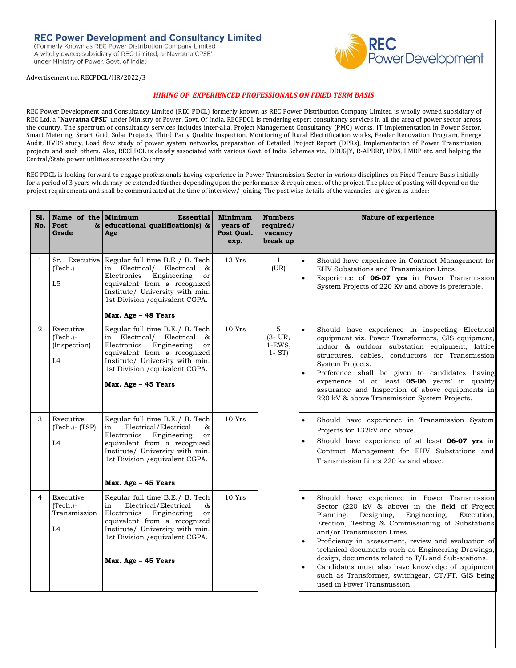# **REC Power Development and Consultancy Limited**

(Formerly Known as REC Power Distribution Company Limited A wholly owned subsidiary of REC Limited, a 'Navratna CPSE' under Ministry of Power. Govt. of India)



Advertisement no. RECPDCL/HR/2022/3

# *HIRING OF EXPERIENCED PROFESSIONALS ON FIXED TERM BASIS*

REC Power Development and Consultancy Limited (REC PDCL) formerly known as REC Power Distribution Company Limited is wholly owned subsidiary of REC Ltd. a "**Navratna CPSE**" under Ministry of Power, Govt. Of India. RECPDCL is rendering expert consultancy services in all the area of power sector across the country. The spectrum of consultancy services includes inter-alia, Project Management Consultancy (PMC) works, IT implementation in Power Sector, Smart Metering, Smart Grid, Solar Projects, Third Party Quality Inspection, Monitoring of Rural Electrification works, Feeder Renovation Program, Energy Audit, HVDS study, Load flow study of power system networks, preparation of Detailed Project Report (DPRs), Implementation of Power Transmission projects and such others. Also, RECPDCL is closely associated with various Govt. of India Schemes viz., DDUGJY, R-APDRP, IPDS, PMDP etc. and helping the Central/State power utilities across the Country.

REC PDCL is looking forward to engage professionals having experience in Power Transmission Sector in various disciplines on Fixed Tenure Basis initially for a period of 3 years which may be extended further depending upon the performance & requirement of the project. The place of posting will depend on the project requirements and shall be communicated at the time of interview/ joining. The post wise details of the vacancies are given as under:

| S1.<br>No.     | Name of the Minimum<br>Post<br>Grade                      | <b>Essential</b><br>& educational qualification(s) &<br>Age                                                                                                                                                                                         | Minimum<br>years of<br>Post Qual.<br>exp. | <b>Numbers</b><br>required/<br>vacancy<br>break up | <b>Nature of experience</b>                                                                                                                                                                                                                                                                                                                                                                                                                                                                                                                                       |
|----------------|-----------------------------------------------------------|-----------------------------------------------------------------------------------------------------------------------------------------------------------------------------------------------------------------------------------------------------|-------------------------------------------|----------------------------------------------------|-------------------------------------------------------------------------------------------------------------------------------------------------------------------------------------------------------------------------------------------------------------------------------------------------------------------------------------------------------------------------------------------------------------------------------------------------------------------------------------------------------------------------------------------------------------------|
| $\mathbf{1}$   | (Tech.)<br>L <sub>5</sub>                                 | Sr. Executive Regular full time B.E / B. Tech<br>in Electrical/<br>Electrical<br>&<br>Electronics<br>Engineering<br>or<br>equivalent from a recognized<br>Institute/ University with min.<br>1st Division / equivalent CGPA.<br>Max. Age - 48 Years | 13 Yrs                                    | $\mathbf{1}$<br>(UR)                               | Should have experience in Contract Management for<br>EHV Substations and Transmission Lines.<br>Experience of 06-07 yrs in Power Transmission<br>$\bullet$<br>System Projects of 220 Kv and above is preferable.                                                                                                                                                                                                                                                                                                                                                  |
| $\overline{2}$ | Executive<br>$(Tech.)-$<br>(Inspection)<br>L <sub>4</sub> | Regular full time B.E./ B. Tech<br>in Electrical/ Electrical<br>&<br>Electronics<br>Engineering<br>or<br>equivalent from a recognized<br>Institute/ University with min.<br>1st Division / equivalent CGPA.<br>Max. Age - 45 Years                  | 10Yrs                                     | 5<br>$(3 - UR,$<br>$1-EWS$ ,<br>$1 - ST$           | $\bullet$<br>Should have experience in inspecting Electrical<br>equipment viz. Power Transformers, GIS equipment,<br>indoor & outdoor substation equipment, lattice<br>structures, cables, conductors for Transmission<br>System Projects.<br>Preference shall be given to candidates having<br>experience of at least <b>05-06</b> years' in quality<br>assurance and Inspection of above equipments in<br>220 kV & above Transmission System Projects.                                                                                                          |
| 3              | Executive<br>$(Tech.) - (TSP)$<br>L4                      | Regular full time B.E./ B. Tech<br>Electrical/Electrical<br>&<br>in<br>Electronics<br>Engineering<br>or<br>equivalent from a recognized<br>Institute/ University with min.<br>1st Division / equivalent CGPA.<br>Max. Age - 45 Years                | 10Yrs                                     |                                                    | Should have experience in Transmission System<br>Projects for 132kV and above.<br>Should have experience of at least 06-07 yrs in<br>Contract Management for EHV Substations and<br>Transmission Lines 220 ky and above.                                                                                                                                                                                                                                                                                                                                          |
| 4              | Executive<br>$(Tech.)-$<br>Transmission<br>L4             | Regular full time B.E./ B. Tech<br>Electrical/Electrical<br>&<br>in<br>Engineering<br>Electronics<br>or<br>equivalent from a recognized<br>Institute/ University with min.<br>1st Division / equivalent CGPA.<br>Max. Age - 45 Years                | 10 Yrs                                    |                                                    | Should have experience in Power Transmission<br>Sector (220 kV & above) in the field of Project<br>Planning,<br>Designing,<br>Engineering,<br>Execution,<br>Erection, Testing & Commissioning of Substations<br>and/or Transmission Lines.<br>Proficiency in assessment, review and evaluation of<br>$\bullet$<br>technical documents such as Engineering Drawings,<br>design, documents related to T/L and Sub-stations.<br>Candidates must also have knowledge of equipment<br>such as Transformer, switchgear, CT/PT, GIS being<br>used in Power Transmission. |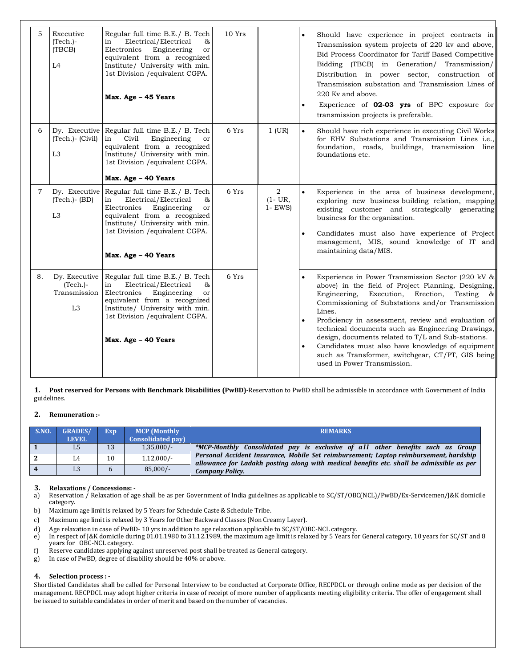| 5           | Executive<br>$(Tech.)-$<br>(TBCB)<br>L4                       | Regular full time B.E./ B. Tech<br>Electrical/Electrical<br>in<br>&<br>Electronics<br>Engineering<br>or<br>equivalent from a recognized<br>Institute/ University with min.<br>1st Division / equivalent CGPA.<br>Max. Age - 45 Years                | 10 Yrs |                              | Should have experience in project contracts in<br>Transmission system projects of 220 kv and above,<br>Bid Process Coordinator for Tariff Based Competitive<br>Bidding (TBCB) in Generation/ Transmission/<br>Distribution in power sector, construction of<br>Transmission substation and Transmission Lines of<br>220 Kv and above.<br>Experience of 02-03 yrs of BPC exposure for<br>transmission projects is preferable.                                                                                                                                 |
|-------------|---------------------------------------------------------------|-----------------------------------------------------------------------------------------------------------------------------------------------------------------------------------------------------------------------------------------------------|--------|------------------------------|--------------------------------------------------------------------------------------------------------------------------------------------------------------------------------------------------------------------------------------------------------------------------------------------------------------------------------------------------------------------------------------------------------------------------------------------------------------------------------------------------------------------------------------------------------------|
| 6           | (Tech.)- (Civil)<br>L <sub>3</sub>                            | Dy. Executive Regular full time B.E./ B. Tech<br>Civil<br>Engineering<br>in<br>or<br>equivalent from a recognized<br>Institute/ University with min.<br>1st Division / equivalent CGPA.<br>Max. Age - 40 Years                                      | 6 Yrs  | $1$ (UR)                     | $\bullet$<br>Should have rich experience in executing Civil Works<br>for EHV Substations and Transmission Lines i.e.,<br>foundation, roads, buildings, transmission line<br>foundations etc.                                                                                                                                                                                                                                                                                                                                                                 |
| $7^{\circ}$ | $(Tech.) - (BD)$<br>L <sub>3</sub>                            | Dy. Executive Regular full time B.E. / B. Tech<br>Electrical/Electrical<br>in<br>&<br>Electronics<br>Engineering<br>or<br>equivalent from a recognized<br>Institute/ University with min.<br>1st Division / equivalent CGPA.<br>Max. Age - 40 Years | 6 Yrs  | 2<br>$(1 - UR,$<br>$1 - EWS$ | Experience in the area of business development,<br>exploring new business building relation, mapping<br>existing customer and strategically generating<br>business for the organization.<br>Candidates must also have experience of Project<br>management, MIS, sound knowledge of IT and<br>maintaining data/MIS.                                                                                                                                                                                                                                           |
| 8.          | Dy. Executive<br>$(Tech.)-$<br>Transmission<br>L <sub>3</sub> | Regular full time B.E./ B. Tech<br>Electrical/Electrical<br>in<br>&<br>Electronics<br>Engineering<br>or<br>equivalent from a recognized<br>Institute/ University with min.<br>1st Division / equivalent CGPA.<br>Max. Age - 40 Years                | 6 Yrs  |                              | Experience in Power Transmission Sector (220 kV &<br>above) in the field of Project Planning, Designing,<br>Engineering,<br>Execution, Erection,<br>Testing<br>$\infty$<br>Commissioning of Substations and/or Transmission<br>Lines.<br>Proficiency in assessment, review and evaluation of<br>technical documents such as Engineering Drawings,<br>design, documents related to T/L and Sub-stations.<br>Candidates must also have knowledge of equipment<br>$\bullet$<br>such as Transformer, switchgear, CT/PT, GIS being<br>used in Power Transmission. |

**1. Post reserved for Persons with Benchmark Disabilities (PwBD)-**Reservation to PwBD shall be admissible in accordance with Government of India guidelines.

## **2. Remuneration :-**

| <b>S.NO.</b> | <b>GRADES/</b> | Exp. | <b>MCP</b> (Monthly       | <b>REMARKS</b>                                                                                                                                                                    |
|--------------|----------------|------|---------------------------|-----------------------------------------------------------------------------------------------------------------------------------------------------------------------------------|
|              | <b>LEVEL</b>   |      | <b>Consolidated pay</b> ) |                                                                                                                                                                                   |
|              | L <sub>5</sub> | 13   | $1,35,000/-$              | *MCP-Monthly Consolidated pay is exclusive of all other benefits such as Group                                                                                                    |
|              |                | 10   | $1,12,000/-$              | Personal Accident Insurance, Mobile Set reimbursement; Laptop reimbursement, hardship<br>allowance for Ladakh posting along with medical benefits etc. shall be admissible as per |
|              |                |      | $85,000/-$                | <b>Company Policy.</b>                                                                                                                                                            |

## **3. Relaxations / Concessions: -**

- a) Reservation / Relaxation of age shall be as per Government of India guidelines as applicable to SC/ST/OBC(NCL)/PwBD/Ex-Servicemen/J&K domicile category.
- b) Maximum age limit is relaxed by 5 Years for Schedule Caste & Schedule Tribe.
- c) Maximum age limit is relaxed by 3 Years for Other Backward Classes (Non Creamy Layer).
- d) Age relaxation in case of PwBD- 10 yrs in addition to age relaxation applicable to SC/ST/OBC-NCL category.<br>
In respect of J&K domicile during 01.01.1980 to 31.12.1989, the maximum age limit is relaxed by 5 Years fo
- In respect of J&K domicile during 01.01.1980 to 31.12.1989, the maximum age limit is relaxed by 5 Years for General category, 10 years for SC/ST and 8 years for OBC-NCL category.
- f) Reserve candidates applying against unreserved post shall be treated as General category.
- g) In case of PwBD, degree of disability should be 40% or above.

## **4. Selection process : -**

Shortlisted Candidates shall be called for Personal Interview to be conducted at Corporate Office, RECPDCL or through online mode as per decision of the management. RECPDCL may adopt higher criteria in case of receipt of more number of applicants meeting eligibility criteria. The offer of engagement shall be issued to suitable candidates in order of merit and based on the number of vacancies.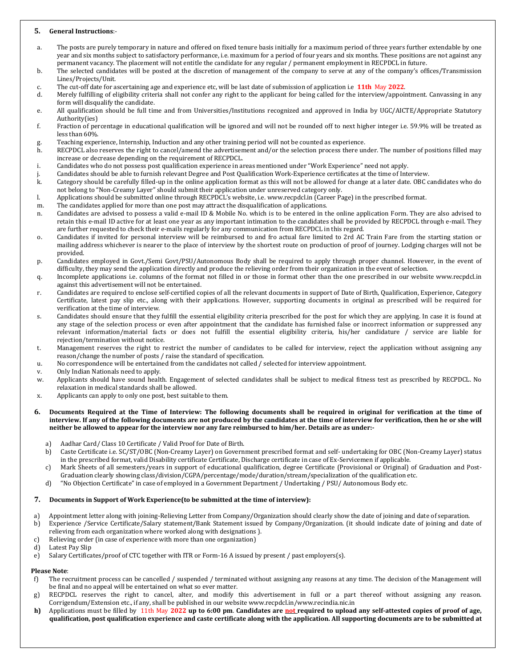## **5. General Instructions**:-

- a. The posts are purely temporary in nature and offered on fixed tenure basis initially for a maximum period of three years further extendable by one year and six months subject to satisfactory performance, i.e. maximum for a period of four years and six months. These positions are not against any permanent vacancy. The placement will not entitle the candidate for any regular / permanent employment in RECPDCL in future.
- b. The selected candidates will be posted at the discretion of management of the company to serve at any of the company's offices/Transmission Lines/Projects/Unit.
- c. The cut-off date for ascertaining age and experience etc, will be last date of submission of application i.e **11th** May **2022**.
- d. Merely fulfilling of eligibility criteria shall not confer any right to the applicant for being called for the interview/appointment. Canvassing in any form will disqualify the candidate.
- e. All qualification should be full time and from Universities/Institutions recognized and approved in India by UGC/AICTE/Appropriate Statutory Authority(ies)
- f. Fraction of percentage in educational qualification will be ignored and will not be rounded off to next higher integer i.e. 59.9% will be treated as less than 60%.
- Teaching experience, Internship, Induction and any other training period will not be counted as experience.
- h. RECPDCL also reserves the right to cancel/amend the advertisement and/or the selection process there under. The number of positions filled may increase or decrease depending on the requirement of RECPDCL.
- i. Candidates who do not possess post qualification experience in areas mentioned under "Work Experience" need not apply.
- j. Candidates should be able to furnish relevant Degree and Post Qualification Work-Experience certificates at the time of Interview.
- k. Category should be carefully filled-up in the online application format as this will not be allowed for change at a later date. OBC candidates who do not belong to "Non-Creamy Layer" should submit their application under unreserved category only.
- l. Applications should be submitted online through RECPDCL's website, i.e. www.recpdcl.in (Career Page) in the prescribed format.
- m. The candidates applied for more than one post may attract the disqualification of applications.
- n. Candidates are advised to possess a valid e-mail ID & Mobile No. which is to be entered in the online application Form. They are also advised to retain this e-mail ID active for at least one year as any important intimation to the candidates shall be provided by RECPDCL through e-mail. They are further requested to check their e-mails regularly for any communication from RECPDCL in this regard.
- o. Candidates if invited for personal interview will be reimbursed to and fro actual fare limited to 2rd AC Train Fare from the starting station or mailing address whichever is nearer to the place of interview by the shortest route on production of proof of journey. Lodging charges will not be provided.
- p. Candidates employed in Govt./Semi Govt/PSU/Autonomous Body shall be required to apply through proper channel. However, in the event of difficulty, they may send the application directly and produce the relieving order from their organization in the event of selection.
- q. Incomplete applications i.e. columns of the format not filled in or those in format other than the one prescribed in our website www.recpdcl.in against this advertisement will not be entertained.
- r. Candidates are required to enclose self-certified copies of all the relevant documents in support of Date of Birth, Qualification, Experience, Category Certificate, latest pay slip etc., along with their applications. However, supporting documents in original as prescribed will be required for verification at the time of interview.
- s. Candidates should ensure that they fulfill the essential eligibility criteria prescribed for the post for which they are applying. In case it is found at any stage of the selection process or even after appointment that the candidate has furnished false or incorrect information or suppressed any relevant information/material facts or does not fulfill the essential eligibility criteria, his/her candidature / service are liable for rejection/termination without notice.
- t. Management reserves the right to restrict the number of candidates to be called for interview, reject the application without assigning any reason/change the number of posts / raise the standard of specification.
- u. No correspondence will be entertained from the candidates not called / selected for interview appointment.
- v. Only Indian Nationals need to apply.
- w. Applicants should have sound health. Engagement of selected candidates shall be subject to medical fitness test as prescribed by RECPDCL. No relaxation in medical standards shall be allowed.
- x. Applicants can apply to only one post, best suitable to them.
- 6. Documents Required at the Time of Interview: The following documents shall be required in original for verification at the time of interview. If any of the following documents are not produced by the candidates at the time of interview for verification, then he or she will neither be allowed to appear for the interview nor any fare reimbursed to him/her. Details are as under:
	- a) Aadhar Card/ Class 10 Certificate / Valid Proof for Date of Birth.
	- b) Caste Certificate i.e. SC/ST/OBC (Non-Creamy Layer) on Government prescribed format and self- undertaking for OBC (Non-Creamy Layer) status in the prescribed format, valid Disability certificate Certificate, Discharge certificate in case of Ex-Servicemen if applicable.
	- c) Mark Sheets of all semesters/years in support of educational qualification, degree Certificate (Provisional or Original) of Graduation and Post-Graduation clearly showing class/division/CGPA/percentage/mode/duration/stream/specialization of the qualification etc.
	- d) "No Objection Certificate" in case of employed in a Government Department / Undertaking / PSU/ Autonomous Body etc.

#### **7. Documents in Support of Work Experience(to be submitted at the time of interview):**

- a) Appointment letter along with joining-Relieving Letter from Company/Organization should clearly show the date of joining and date of separation. b) Experience /Service Certificate/Salary statement/Bank Statement issued by Company/Organization. (it should indicate date of joining and date of
- relieving from each organization where worked along with designations ).
- c) Relieving order (in case of experience with more than one organization)
- d) Latest Pay Slip
- e) Salary Certificates/proof of CTC together with ITR or Form-16 A issued by present / past employers(s).

## **Please Note**:

- f) The recruitment process can be cancelled / suspended / terminated without assigning any reasons at any time. The decision of the Management will be final and no appeal will be entertained on what so ever matter.
- g) RECPDCL reserves the right to cancel, alter, and modify this advertisement in full or a part thereof without assigning any reason. Corrigendum/Extension etc., if any, shall be published in our website www.recpdcl.in/www.recindia.nic.in
- h) Applications must be filled by 11th May 2022 up to 6:00 pm. Candidates are not required to upload any self-attested copies of proof of age, qualification, post qualification experience and caste certificate along with the application. All supporting documents are to be submitted at